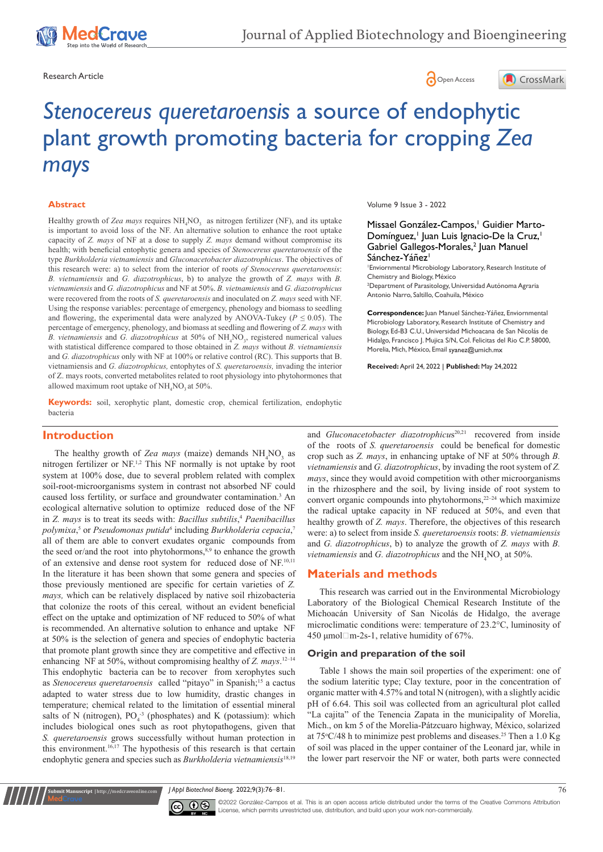





# *Stenocereus queretaroensis* a source of endophytic plant growth promoting bacteria for cropping *Zea mays*

#### **Abstract**

Healthy growth of Zea mays requires  $NH_4NO_3$  as nitrogen fertilizer (NF), and its uptake is important to avoid loss of the NF. An alternative solution to enhance the root uptake capacity of *Z. mays* of NF at a dose to supply *Z. mays* demand without compromise its health; with beneficial entophytic genera and species of *Stenocereus queretaroensis* of the type *Burkholderia vietnamiensis* and *Gluconacetobacter diazotrophicus*. The objectives of this research were: a) to select from the interior of roots *of Stenocereus queretaroensis*: *B. vietnamiensis* and *G. diazotrophicus*, b) to analyze the growth of *Z. mays* with *B. vietnamiensis* and *G. diazotrophicus* and NF at 50%. *B. vietnamiensis* and *G. diazotrophicus* were recovered from the roots of *S. queretaroensis* and inoculated on *Z. mays* seed with NF. Using the response variables: percentage of emergency, phenology and biomass to seedling and flowering, the experimental data were analyzed by ANOVA-Tukey ( $P \le 0.05$ ). The percentage of emergency, phenology, and biomass at seedling and flowering of *Z. mays* with B. vietnamiensis and *G. diazotrophicus* at 50% of NH<sub>4</sub>NO<sub>3</sub>, registered numerical values with statistical difference compared to those obtained in *Z. mays* without *B. vietnamiensis*  and *G. diazotrophicus* only with NF at 100% or relative control (RC). This supports that B. vietnamiensis and *G. diazotrophicus,* entophytes of *S. queretaroensis,* invading the interior of Z. mays roots, converted metabolites related to root physiology into phytohormones that allowed maximum root uptake of  $\text{NH}_4\text{NO}_3$  at 50%.

**Keywords:** soil, xerophytic plant, domestic crop, chemical fertilization, endophytic bacteria

#### **Introduction**

The healthy growth of Zea mays (maize) demands  $NH<sub>4</sub>NO<sub>3</sub>$  as nitrogen fertilizer or NF.1,2 This NF normally is not uptake by root system at 100% dose, due to several problem related with complex soil-root-microorganisms system in contrast not absorbed NF could caused loss fertility, or surface and groundwater contamination.<sup>3</sup> An ecological alternative solution to optimize reduced dose of the NF in *Z. mays* is to treat its seeds with: *Bacillus subtilis*, <sup>4</sup> *Paenibacillus*  polymixa,<sup>5</sup> or *Pseudomonas putida<sup>6</sup>* including *Burkholderia cepacia*,<sup>7</sup> all of them are able to convert exudates organic compounds from the seed or/and the root into phytohormons,<sup>8,9</sup> to enhance the growth of an extensive and dense root system for reduced dose of NF.<sup>10,11</sup> In the literature it has been shown that some genera and species of those previously mentioned are specific for certain varieties of *Z. mays,* which can be relatively displaced by native soil rhizobacteria that colonize the roots of this cereal*,* without an evident beneficial effect on the uptake and optimization of NF reduced to 50% of what is recommended. An alternative solution to enhance and uptake NF at 50% is the selection of genera and species of endophytic bacteria that promote plant growth since they are competitive and effective in enhancing NF at 50%, without compromising healthy of *Z. mays*.<sup>12-14</sup> This endophytic bacteria can be to recover from xerophytes such as *Stenocereus queretaroensis* called "pitayo" in Spanish;<sup>15</sup> a cactus adapted to water stress due to low humidity, drastic changes in temperature; chemical related to the limitation of essential mineral salts of N (nitrogen),  $PO_4^{-3}$  (phosphates) and K (potassium): which includes biological ones such as root phytopathogens, given that *S. queretaroensis* grows successfully without human protection in this environment.<sup>16,17</sup> The hypothesis of this research is that certain endophytic genera and species such as *Burkholderia vietnamiensis*18,19

Volume 9 Issue 3 - 2022

Missael González-Campos,<sup>1</sup> Guidier Marto-Domínguez,<sup>1</sup> Juan Luis Ignacio-De la Cruz,<sup>1</sup> Gabriel Gallegos-Morales,<sup>2</sup> Juan Manuel Sánchez-Yáñez<sup>1</sup>

1 Enviornmental Microbiology Laboratory, Research Institute of Chemistry and Biology, México

2 Department of Parasitology, Universidad Autónoma Agraria Antonio Narro, Saltillo, Coahuila, México

**Correspondence:** Juan Manuel Sánchez-Yáñez, Enviornmental Microbiology Laboratory, Research Institute of Chemistry and Biology, Ed-B3 C.U., Universidad Michoacana de San Nicolás de Hidalgo, Francisco J. Mujica S/N, Col. Felicitas del Rio C.P. 58000, Morelia, Mich, México, Email syanez@umich.mx

**Received:** April 24, 2022 | **Published:** May 24,2022

and *Gluconacetobacter diazotrophicus<sup>20,21</sup>* recovered from inside of the roots of *S. queretaroensis* could be benefical for domestic crop such as *Z. mays*, in enhancing uptake of NF at 50% through *B. vietnamiensis* and *G. diazotrophicus*, by invading the root system of *Z. mays*, since they would avoid competition with other microorganisms in the rhizosphere and the soil, by living inside of root system to convert organic compounds into phytohormons,<sup>22-24</sup> which maximize the radical uptake capacity in NF reduced at 50%, and even that healthy growth of *Z. mays*. Therefore, the objectives of this research were: a) to select from inside *S. queretaroensis* roots: *B. vietnamiensis* and *G. diazotrophicus*, b) to analyze the growth of *Z. mays* with *B. vietnamiensis* and *G. diazotrophicus* and the NH<sub>4</sub>NO<sub>3</sub> at 50%.

#### **Materials and methods**

This research was carried out in the Environmental Microbiology Laboratory of the Biological Chemical Research Institute of the Michoacán University of San Nicolás de Hidalgo, the average microclimatic conditions were: temperature of 23.2°C, luminosity of 450  $\mu$ mol $\Box$ m-2s-1, relative humidity of 67%.

#### **Origin and preparation of the soil**

Table 1 shows the main soil properties of the experiment: one of the sodium lateritic type; Clay texture, poor in the concentration of organic matter with 4.57% and total N (nitrogen), with a slightly acidic pH of 6.64. This soil was collected from an agricultural plot called "La cajita" of the Tenencia Zapata in the municipality of Morelia, Mich., on km 5 of the Morelia-Pátzcuaro highway, México, solarized at  $75^{\circ}$ C/48 h to minimize pest problems and diseases.<sup>25</sup> Then a 1.0 Kg of soil was placed in the upper container of the Leonard jar, while in the lower part reservoir the NF or water, both parts were connected

*J Appl Biotechnol Bioeng.* 2022;9(3):76‒81. 76



**it Manuscript** | http://medcraveonline.co

©2022 González-Campos et al. This is an open access article distributed under the terms of the Creative Commons Attribution License, which permits unrestricted use, distribution, and build upon your work non-commercially.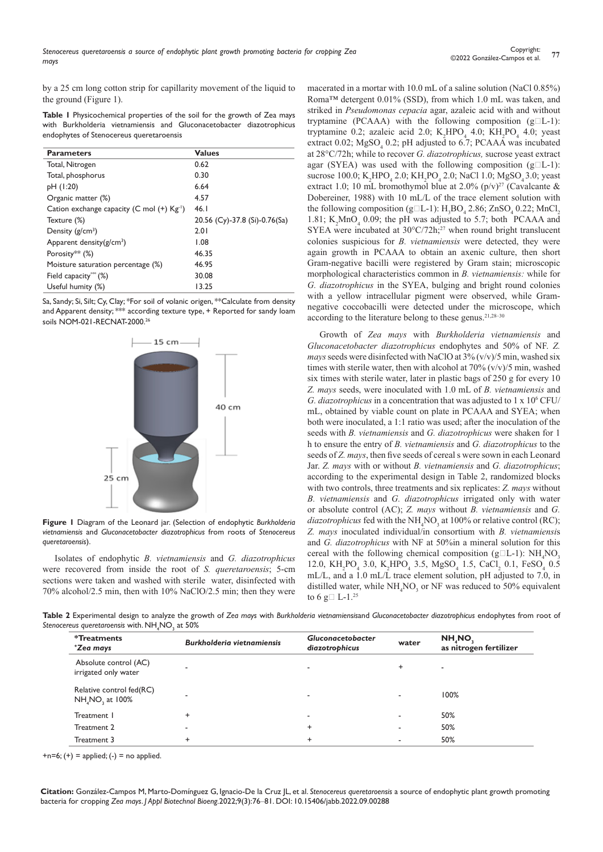by a 25 cm long cotton strip for capillarity movement of the liquid to the ground (Figure 1).

**Table 1** Physicochemical properties of the soil for the growth of Zea mays with Burkholderia vietnamiensis and Gluconacetobacter diazotrophicus endophytes of Stenocereus queretaroensis

| <b>Parameters</b>                                      | <b>Values</b>                 |
|--------------------------------------------------------|-------------------------------|
| Total, Nitrogen                                        | 0.62                          |
| Total, phosphorus                                      | 0.30                          |
| pH (1:20)                                              | 6.64                          |
| Organic matter (%)                                     | 4.57                          |
| Cation exchange capacity (C mol (+) Kg <sup>-1</sup> ) | 46.1                          |
| Texture (%)                                            | 20.56 (Cy)-37.8 (Si)-0.76(Sa) |
| Density $(g/cm^3)$                                     | 2.01                          |
| Apparent density $(g/cm^3)$                            | 1.08                          |
| Porosity** $(\%)$                                      | 46.35                         |
| Moisture saturation percentage (%)                     | 46.95                         |
| Field capacity $(\%)$                                  | 30.08                         |
| Useful humity (%)                                      | 13.25                         |

Sa, Sandy; Si, Silt; Cy, Clay; \*For soil of volanic origen, \*\*Calculate from density and Apparent density; \*\*\* according texture type, + Reported for sandy loam soils NOM-021-RECNAT-2000.26



**Figure 1** Diagram of the Leonard jar. (Selection of endophytic *Burkholderia vietnamiensis* and *Gluconacetobacter diazotrophicus* from roots of *Stenocereus queretaroensis*).

Isolates of endophytic *B. vietnamiensis* and *G. diazotrophicus*  were recovered from inside the root of *S. queretaroensis*; 5-cm sections were taken and washed with sterile water, disinfected with 70% alcohol/2.5 min, then with 10% NaClO/2.5 min; then they were macerated in a mortar with 10.0 mL of a saline solution (NaCl 0.85%) Roma™ detergent 0.01% (SSD), from which 1.0 mL was taken, and striked in *Pseudomonas cepacia* agar, azaleic acid with and without tryptamine (PCAAA) with the following composition  $(g<sub>l</sub>-1)$ : tryptamine 0.2; azaleic acid 2.0;  $K_2HPO_4$  4.0;  $KH_2PO_4$  4.0; yeast extract 0.02;  $MgSO_4$  0.2; pH adjusted to 6.7; PCAAA was incubated at 28°C/72h; while to recover *G. diazotrophicus,* sucrose yeast extract agar (SYEA) was used with the following composition  $(g<sub>l</sub>-1)$ : sucrose 100.0;  $K_2 H PO_4$  2.0;  $KH_2PO_4$  2.0; NaCl 1.0;  $MgSO_4$  3.0; yeast extract 1.0; 10 mL bromothymol blue at 2.0%  $(p/v)^{27}$  (Cavalcante & Dobereiner, 1988) with 10 mL/L of the trace element solution with the following composition (g $\Box L$ -1): H<sub>3</sub>BO<sub>4</sub> 2.86; ZnSO<sub>4</sub> 0.22; MnCl<sub>2</sub> 1.81;  $K_2MnO_4$  0.09; the pH was adjusted to 5.7; both PCAAA and SYEA were incubated at  $30^{\circ}$ C/72h;<sup>27</sup> when round bright translucent colonies suspicious for *B. vietnamiensis* were detected, they were again growth in PCAAA to obtain an axenic culture, then short Gram-negative bacilli were registered by Gram stain; microscopic morphological characteristics common in *B. vietnamiensis:* while for *G. diazotrophicus* in the SYEA, bulging and bright round colonies with a yellow intracellular pigment were observed, while Gramnegative coccobacilli were detected under the microscope, which according to the literature belong to these genus.<sup>21,28-30</sup>

Growth of *Zea mays* with *Burkholderia vietnamiensis* and *Gluconacetobacter diazotrophicus* endophytes and 50% of NF. *Z. mays* seeds were disinfected with NaClO at 3% (v/v)/5 min, washed six times with sterile water, then with alcohol at  $70\%$  (v/v)/5 min, washed six times with sterile water, later in plastic bags of 250 g for every 10 *Z. mays* seeds, were inoculated with 1.0 mL of *B. vietnamiensis* and *G. diazotrophicus* in a concentration that was adjusted to 1 x 106 CFU/ mL, obtained by viable count on plate in PCAAA and SYEA; when both were inoculated, a 1:1 ratio was used; after the inoculation of the seeds with *B. vietnamiensis* and *G. diazotrophicus* were shaken for 1 h to ensure the entry of *B. vietnamiensis* and *G. diazotrophicus* to the seeds of *Z. mays*, then five seeds of cereal s were sown in each Leonard Jar. *Z. mays* with or without *B. vietnamiensis* and *G. diazotrophicus*; according to the experimental design in Table 2, randomized blocks with two controls, three treatments and six replicates: *Z. mays* without *B. vietnamiensis* and *G. diazotrophicus* irrigated only with water or absolute control (AC); *Z. mays* without *B. vietnamiensis* and *G.*   $diazotrophicus$  fed with the  $NH<sub>4</sub>NO<sub>3</sub>$  at 100% or relative control (RC); *Z. mays* inoculated individual/in consortium with *B. vietnamiensi*s and *G. diazotrophicus* with NF at 50%in a mineral solution for this cereal with the following chemical composition ( $g\Box L$ -1):  $NH_4NO_3$ 12.0,  $KH_2PO_4$  3.0,  $K_2HPO_4$  3.5,  $MgSO_4$  1.5,  $CaCl_2$  0.1,  $FeSO_4$  0.5 mL/L, and a 1.0 mL/L trace element solution, pH adjusted to 7.0, in distilled water, while  $NH_4NO_3$  or NF was reduced to 50% equivalent to 6 g $\Box$  L-1.<sup>25</sup>

**Table 2** Experimental design to analyze the growth of *Zea mays* with *Burkholderia vietnamiensis*and *Gluconacetobacter diazotrophicus* endophytes from root of Stenocereus queretaroensis with. NH<sub>4</sub>NO<sub>3</sub> at 50%

| <i>*</i> Treatments<br>*Zea mays                                    | <b>Burkholderia vietnamiensis</b> | <b>Gluconacetobacter</b><br>diazotrophicus | water     | NH, NO.<br>as nitrogen fertilizer |
|---------------------------------------------------------------------|-----------------------------------|--------------------------------------------|-----------|-----------------------------------|
| Absolute control (AC)<br>irrigated only water                       |                                   |                                            | $\ddot{}$ | ٠                                 |
| Relative control fed(RC)<br>NH <sub>4</sub> NO <sub>2</sub> at 100% |                                   | $\overline{\phantom{a}}$                   | -         | 100%                              |
| Treatment 1                                                         |                                   | $\overline{\phantom{a}}$                   |           | 50%                               |
| Treatment 2                                                         | ٠                                 | $\ddot{}$                                  |           | 50%                               |
| Treatment 3                                                         |                                   | $\ddot{}$                                  |           | 50%                               |

 $+n=6$ ;  $(+)$  = applied;  $(-)$  = no applied.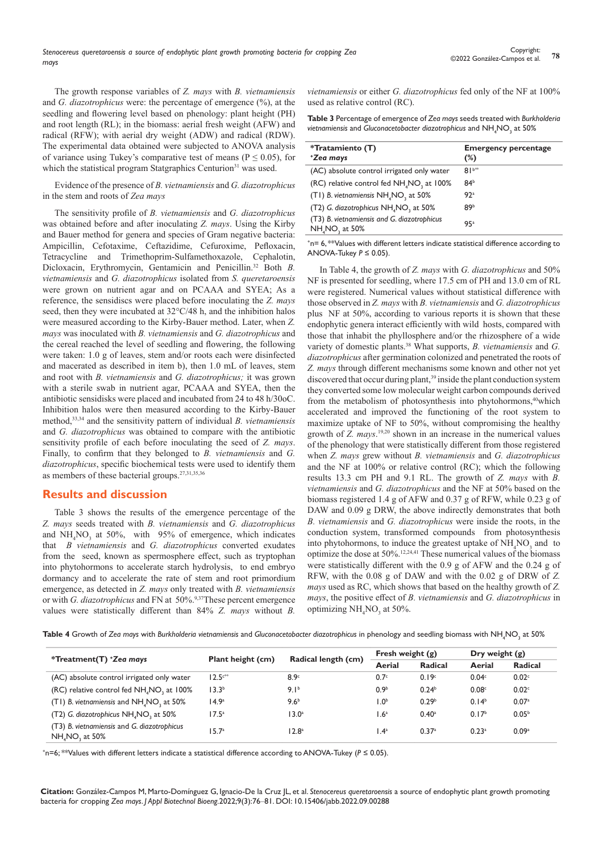The growth response variables of *Z. mays* with *B. vietnamiensis* and *G. diazotrophicus* were: the percentage of emergence (%), at the seedling and flowering level based on phenology: plant height (PH) and root length (RL); in the biomass: aerial fresh weight (AFW) and radical (RFW); with aerial dry weight (ADW) and radical (RDW). The experimental data obtained were subjected to ANOVA analysis of variance using Tukey's comparative test of means ( $P \le 0.05$ ), for which the statistical program Statgraphics Centurion<sup>31</sup> was used.

Evidence of the presence of *B. vietnamiensis* and *G. diazotrophicus* in the stem and roots of *Zea mays*

The sensitivity profile of *B. vietnamiensis* and *G. diazotrophicus* was obtained before and after inoculating *Z. mays*. Using the Kirby and Bauer method for genera and species of Gram negative bacteria: Ampicillin, Cefotaxime, Ceftazidime, Cefuroxime, Pefloxacin, Tetracycline and Trimethoprim-Sulfamethoxazole, Cephalotin, Dicloxacin, Erythromycin, Gentamicin and Penicillin.32 Both *B. vietnamiensis* and *G. diazotrophicus* isolated from *S. queretaroensis* were grown on nutrient agar and on PCAAA and SYEA; As a reference, the sensidiscs were placed before inoculating the *Z. mays* seed, then they were incubated at 32°C/48 h, and the inhibition halos were measured according to the Kirby-Bauer method. Later, when *Z. mays* was inoculated with *B. vietnamiensis* and *G. diazotrophicus* and the cereal reached the level of seedling and flowering, the following were taken: 1.0 g of leaves, stem and/or roots each were disinfected and macerated as described in item b), then 1.0 mL of leaves, stem and root with *B. vietnamiensis* and *G. diazotrophicus;* it was grown with a sterile swab in nutrient agar, PCAAA and SYEA, then the antibiotic sensidisks were placed and incubated from 24 to 48 h/30oC. Inhibition halos were then measured according to the Kirby-Bauer method,33,34 and the sensitivity pattern of individual *B. vietnamiensis*  and *G. diazotrophicus* was obtained to compare with the antibiotic sensitivity profile of each before inoculating the seed of *Z. mays*. Finally, to confirm that they belonged to *B. vietnamiensis* and *G. diazotrophicus*, specific biochemical tests were used to identify them as members of these bacterial groups.27,31,35,36

#### **Results and discussion**

Table 3 shows the results of the emergence percentage of the *Z. mays* seeds treated with *B. vietnamiensis* and *G. diazotrophicus*  and  $NH<sub>4</sub>NO<sub>3</sub>$  at 50%, with 95% of emergence, which indicates that *B vietnamiensis* and *G. diazotrophicus* converted exudates from the seed, known as spermosphere effect, such as tryptophan into phytohormons to accelerate starch hydrolysis, to end embryo dormancy and to accelerate the rate of stem and root primordium emergence, as detected in *Z. mays* only treated with *B. vietnamiensis*  or with *G. diazotrophicus* and FN at 50%.<sup>9,37</sup>These percent emergence values were statistically different than 84% *Z. mays* without *B.* 

*vietnamiensis* or either *G. diazotrophicus* fed only of the NF at 100% used as relative control (RC).

| <b>Table 3</b> Percentage of emergence of Zea mays seeds treated with Burkholderia |
|------------------------------------------------------------------------------------|
| vietnamiensis and Gluconacetobacter diazotrophicus and NH, NO, at 50%              |

| *Tratamiento (T)<br>*Zea mays                                                         | <b>Emergency percentage</b><br>$(\%)$ |
|---------------------------------------------------------------------------------------|---------------------------------------|
| (AC) absolute control irrigated only water                                            | $81^{b**}$                            |
| (RC) relative control fed NH <sub>4</sub> NO <sub>2</sub> at 100%                     | 84 <sup>b</sup>                       |
| (T1) B. vietnamiensis NH <sub>4</sub> NO <sub>2</sub> at 50%                          | 92a                                   |
| (T2) G. diazotrophicus NH <sub>4</sub> NO <sub>3</sub> at 50%                         | 89b                                   |
| (T3) B. vietnamiensis and G. diazotrophicus<br>NH <sub>A</sub> NO <sub>2</sub> at 50% | 9.5a                                  |

+n= 6, \*\*Values with different letters indicate statistical difference according to ANOVA-Tukey *P ≤* 0.05).

In Table 4, the growth of *Z. mays* with *G. diazotrophicus* and 50% NF is presented for seedling, where 17.5 cm of PH and 13.0 cm of RL were registered. Numerical values without statistical difference with those observed in *Z. mays* with *B. vietnamiensis* and *G. diazotrophicus* plus NF at 50%, according to various reports it is shown that these endophytic genera interact efficiently with wild hosts, compared with those that inhabit the phyllosphere and/or the rhizosphere of a wide variety of domestic plants.38 What supports, *B. vietnamiensis* and *G. diazotrophicus* after germination colonized and penetrated the roots of *Z. mays* through different mechanisms some known and other not yet discovered that occur during plant,<sup>39</sup> inside the plant conduction system they converted some low molecular weight carbon compounds derived from the metabolism of photosynthesis into phytohormons,<sup>40</sup>which accelerated and improved the functioning of the root system to maximize uptake of NF to 50%, without compromising the healthy growth of *Z. mays*. 19,20 shown in an increase in the numerical values of the phenology that were statistically different from those registered when *Z. mays* grew without *B. vietnamiensis* and *G. diazotrophicus* and the NF at 100% or relative control (RC); which the following results 13.3 cm PH and 9.1 RL. The growth of *Z. mays* with *B. vietnamiensis* and *G. diazotrophicus* and the NF at 50% based on the biomass registered 1.4 g of AFW and 0.37 g of RFW, while 0.23 g of DAW and 0.09 g DRW, the above indirectly demonstrates that both *B. vietnamiensis* and *G. diazotrophicus* were inside the roots, in the conduction system, transformed compounds from photosynthesis into phytohormons, to induce the greatest uptake of  $NH<sub>4</sub>NO<sub>3</sub>$  and to optimize the dose at 50%.12,24,41 These numerical values of the biomass were statistically different with the 0.9 g of AFW and the 0.24 g of RFW, with the 0.08 g of DAW and with the 0.02 g of DRW of *Z. mays* used as RC, which shows that based on the healthy growth of *Z. mays*, the positive effect of *B. vietnamiensis* and *G. diazotrophicus* in optimizing  $NH<sub>4</sub>NO<sub>3</sub>$  at 50%.

 $\bm{\tau}$ able 4 Growth of *Zea mays* with *Burkholderia vietnamiensis* and *Gluconacetobacter diazotrophicus* in phenology and seedling biomass with NH<sub>4</sub>NO<sub>3</sub> at 50%

|                                                                                       |                          |                     | Fresh weight $(g)$ |                   | Dry weight $(g)$  |                   |
|---------------------------------------------------------------------------------------|--------------------------|---------------------|--------------------|-------------------|-------------------|-------------------|
| *Treatment(T) +Zea mays                                                               | <b>Plant height (cm)</b> | Radical length (cm) | Aerial             | Radical           | Aerial            | Radical           |
| (AC) absolute control irrigated only water                                            | $12.5c**$                | $8.9^\circ$         | 0.7 <sup>c</sup>   | 0.19c             | 0.04 <sup>c</sup> | 0.02 <sup>c</sup> |
| (RC) relative control fed NH <sub>4</sub> NO <sub>2</sub> at 100%                     | 13.3 <sup>b</sup>        | 9.1 <sup>b</sup>    | 0.9 <sup>b</sup>   | 0.24 <sup>b</sup> | 0.08 <sup>c</sup> | 0.02c             |
| (T1) B. vietnamiensis and NH, NO, at 50%                                              | 14.9 <sup>a</sup>        | 9.6 <sup>b</sup>    | 1.0 <sup>b</sup>   | 0.29 <sup>b</sup> | 0.14 <sup>b</sup> | 0.07 <sup>a</sup> |
| (T2) G. diazotrophicus NH, NO, at 50%                                                 | $17.5^a$                 | 13.0 <sup>a</sup>   | 1.6 <sup>a</sup>   | $0.40^{\rm a}$    | 0.17 <sup>b</sup> | 0.05 <sup>b</sup> |
| (T3) B. vietnamiensis and G. diazotrophicus<br>NH <sub>4</sub> NO <sub>2</sub> at 50% | 15.7 <sup>a</sup>        | 12.8 <sup>a</sup>   | $.4^{\circ}$       | 0.37a             | 0.23a             | 0.09a             |

+n=6; \*\*Values with different letters indicate a statistical difference according to ANOVA-Tukey (*P ≤* 0.05).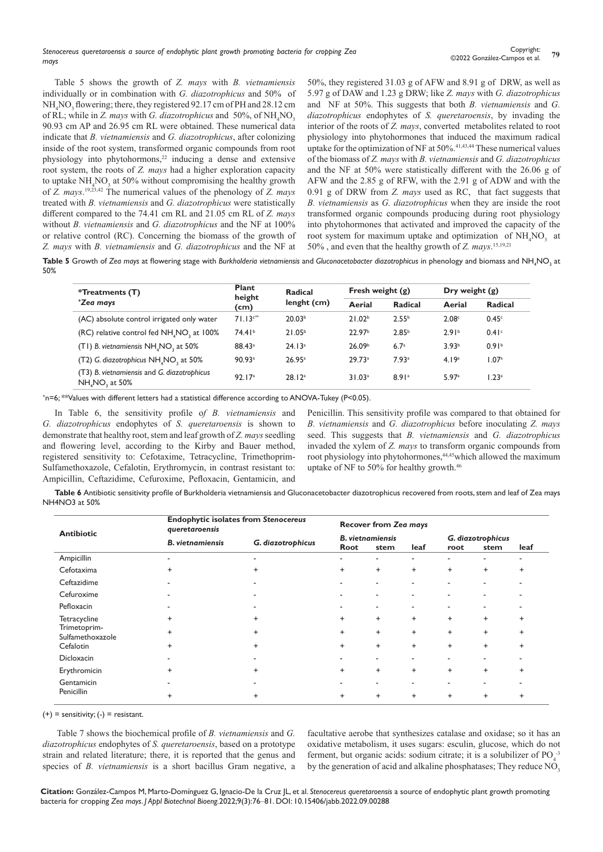Table 5 shows the growth of *Z. mays* with *B. vietnamiensis* individually or in combination with *G. diazotrophicus* and 50% of  $NH<sub>4</sub>NO<sub>3</sub>$  flowering; there, they registered 92.17 cm of PH and 28.12 cm of RL; while in *Z. mays* with *G. diazotrophicus* and 50%, of NH<sub>4</sub>NO<sub>3</sub> 90.93 cm AP and 26.95 cm RL were obtained. These numerical data indicate that *B. vietnamiensis* and *G. diazotrophicus*, after colonizing inside of the root system, transformed organic compounds from root physiology into phytohormons,<sup>22</sup> inducing a dense and extensive root system, the roots of *Z. mays* had a higher exploration capacity to uptake  $NH<sub>4</sub>NO<sub>3</sub>$  at 50% without compromising the healthy growth of *Z. mays*. 19,23,42 The numerical values of the phenology of *Z. mays*  treated with *B. vietnamiensis* and *G. diazotrophicus* were statistically different compared to the 74.41 cm RL and 21.05 cm RL of *Z. mays* without *B. vietnamiensis* and *G. diazotrophicus* and the NF at 100% or relative control (RC). Concerning the biomass of the growth of *Z. mays* with *B. vietnamiensis* and *G. diazotrophicus* and the NF at 50%, they registered 31.03 g of AFW and 8.91 g of DRW, as well as 5.97 g of DAW and 1.23 g DRW; like *Z. mays* with *G. diazotrophicus* and NF at 50%. This suggests that both *B. vietnamiensis* and *G. diazotrophicus* endophytes of *S. queretaroensis*, by invading the interior of the roots of *Z. mays*, converted metabolites related to root physiology into phytohormones that induced the maximum radical uptake for the optimization of NF at  $50\%$ .<sup>41,43,44</sup> These numerical values of the biomass of *Z. mays* with *B. vietnamiensis* and *G. diazotrophicus*  and the NF at 50% were statistically different with the 26.06 g of AFW and the 2.85 g of RFW, with the 2.91 g of ADW and with the 0.91 g of DRW from *Z. mays* used as RC, that fact suggests that *B. vietnamiensis* as *G. diazotrophicus* when they are inside the root transformed organic compounds producing during root physiology into phytohormones that activated and improved the capacity of the root system for maximum uptake and optimization of  $NH<sub>4</sub>NO<sub>3</sub>$  at 50% , and even that the healthy growth of *Z. mays*. 15,19,21

 $\sf Table~5$  Growth of Zea mays at flowering stage with Burkholderia vietnamiensis and Gluconacetobacter diazotrophicus in phenology and biomass and NH<sub>4</sub>NO<sub>3</sub> at 50%

| *Treatments (T)                                               | <b>Plant</b><br>height | <b>Radical</b>     | Fresh weight $(g)$ |                   |                   | Dry weight $(g)$  |  |
|---------------------------------------------------------------|------------------------|--------------------|--------------------|-------------------|-------------------|-------------------|--|
| *Zea mays                                                     | (cm)                   | lenght (cm)        | Aerial             | Radical           | Aerial            | <b>Radical</b>    |  |
| (AC) absolute control irrigated only water                    | $71.13c**$             | 20.03 <sup>b</sup> | 21.02 <sup>b</sup> | 2.55 <sup>b</sup> | 2.08c             | 0.45c             |  |
| (RC) relative control fed NH, NO, at 100%                     | 74.41 <sup>b</sup>     | 21.05 <sup>b</sup> | 22.97 <sup>b</sup> | 2.85 <sup>b</sup> | 2.91 <sup>b</sup> | 0.41 <sup>c</sup> |  |
| (T1) B. vietnamiensis NH, NO, at 50%                          | $88.43^{\circ}$        | 24.13 <sup>a</sup> | 26.09 <sup>b</sup> | 6.7 <sup>a</sup>  | 3.93 <sup>b</sup> | 0.91 <sup>b</sup> |  |
| (T2) G. diazotrophicus NH, NO, at 50%                         | $90.93$ <sup>a</sup>   | 26.95a             | 29.73a             | 7.93 <sup>a</sup> | 4.19a             | 1.07 <sup>a</sup> |  |
| (T3) B. vietnamiensis and G. diazotrophicus<br>NH, NO, at 50% | 92.17 <sup>a</sup>     | 28.12 <sup>a</sup> | 31.03a             | 8.91a             | 5.97a             | 1.23 <sup>a</sup> |  |

+n=6; \*\*Values with different letters had a statistical difference according to ANOVA-Tukey (P<0.05).

In Table 6, the sensitivity profile o*f B. vietnamiensis* and *G. diazotrophicus* endophytes of *S. queretaroensis* is shown to demonstrate that healthy root, stem and leaf growth of *Z. mays* seedling and flowering level, according to the Kirby and Bauer method, registered sensitivity to: Cefotaxime, Tetracycline, Trimethoprim-Sulfamethoxazole, Cefalotin, Erythromycin, in contrast resistant to: Ampicillin, Ceftazidime, Cefuroxime, Pefloxacin, Gentamicin, and

Penicillin. This sensitivity profile was compared to that obtained for *B. vietnamiensis* and *G. diazotrophicus* before inoculating *Z. mays* seed. This suggests that *B. vietnamiensis* and *G. diazotrophicus*  invaded the xylem of *Z. mays* to transform organic compounds from root physiology into phytohormones,<sup>44,45</sup>which allowed the maximum uptake of NF to 50% for healthy growth.<sup>46</sup>

**Table 6** Antibiotic sensitivity profile of Burkholderia vietnamiensis and Gluconacetobacter diazotrophicus recovered from roots, stem and leaf of Zea mays NH4NO3 at 50%

| <b>Antibiotic</b>                | <b>Endophytic isolates from Stenocereus</b><br>queretaroensis | <b>Recover from Zea mays</b> |                         |                          |           |                          |           |           |
|----------------------------------|---------------------------------------------------------------|------------------------------|-------------------------|--------------------------|-----------|--------------------------|-----------|-----------|
|                                  | <b>B.</b> vietnamiensis                                       | G. diazotrophicus            | <b>B.</b> vietnamiensis |                          |           | G. diazotrophicus        |           |           |
|                                  |                                                               |                              | Root                    | stem                     | leaf      | root                     | stem      | leaf      |
| Ampicillin                       | ٠                                                             | ٠                            | -                       | $\blacksquare$           | ۰         | $\blacksquare$           | ۰         | ٠         |
| Cefotaxima                       | $\ddot{}$                                                     | $\ddot{}$                    | $\ddot{}$               | $^{+}$                   | $\ddot{}$ | $\ddot{}$                | $\ddot{}$ | $\ddot{}$ |
| Ceftazidime                      |                                                               |                              | ۰                       | $\overline{\phantom{a}}$ | ٠         | $\overline{\phantom{a}}$ | ٠         |           |
| Cefuroxime                       |                                                               |                              | ۰                       | $\overline{\phantom{a}}$ | ٠         | $\overline{\phantom{a}}$ | ٠         |           |
| Pefloxacin                       |                                                               |                              |                         | $\overline{\phantom{a}}$ | ٠         | ٠                        | ۰         |           |
| Tetracycline                     |                                                               | +                            | $\ddot{}$               | $\ddot{}$                | $\ddot{}$ | $\ddot{}$                | $\ddot{}$ | $\ddot{}$ |
| Trimetoprim-<br>Sulfamethoxazole | $\ddot{}$                                                     | $\ddot{}$                    | $\ddot{}$               | $\ddot{}$                | $\ddot{}$ | $\ddot{}$                | $\ddot{}$ | $\ddot{}$ |
| Cefalotin                        | $\ddot{}$                                                     | $\ddot{}$                    | $\ddot{}$               | $^{+}$                   | $\ddot{}$ | $\ddot{}$                | $\ddot{}$ | $\ddot{}$ |
| <b>Dicloxacin</b>                |                                                               |                              |                         | $\overline{\phantom{a}}$ |           | ٠                        |           |           |
| Erythromicin                     | +                                                             | +                            | $\ddot{}$               | $\ddot{}$                | $\ddot{}$ | $\ddot{}$                | $\ddot{}$ | $\ddot{}$ |
| Gentamicin                       |                                                               |                              |                         | $\overline{\phantom{a}}$ | ۰         | $\overline{\phantom{a}}$ | ۰         |           |
| Penicillin                       | $\ddot{}$                                                     | $\ddot{}$                    | $\ddot{}$               | $\ddot{}$                | $\ddot{}$ | $\ddot{}$                | $\ddot{}$ | $\ddot{}$ |

 $(+)$  = sensitivity;  $(-)$  = resistant.

 Table 7 shows the biochemical profile of *B. vietnamiensis* and *G. diazotrophicus* endophytes of *S. queretaroensis*, based on a prototype strain and related literature; there, it is reported that the genus and species of *B. vietnamiensis* is a short bacillus Gram negative, a

facultative aerobe that synthesizes catalase and oxidase; so it has an oxidative metabolism, it uses sugars: esculin, glucose, which do not ferment, but organic acids: sodium citrate; it is a solubilizer of  $PO<sub>4</sub><sup>3</sup>$ by the generation of acid and alkaline phosphatases; They reduce NO<sub>3</sub>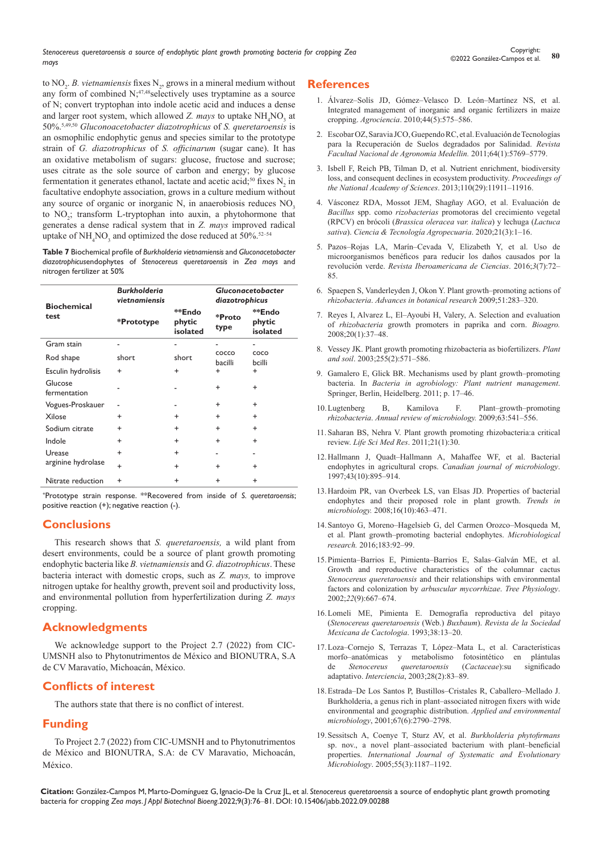*Stenocereus queretaroensis a source of endophytic plant growth promoting bacteria for cropping Zea mays*

to  $NO_2$ . *B. vietnamiensis* fixes  $N_2$ , grows in a mineral medium without any form of combined N;<sup>47,48</sup>selectively uses tryptamine as a source of N; convert tryptophan into indole acetic acid and induces a dense and larger root system, which allowed *Z. mays* to uptake  $NH<sub>4</sub>NO<sub>3</sub>$  at 50%.5,49,50 *Gluconoacetobacter diazotrophicus* of *S. queretaroensis* is an osmophilic endophytic genus and species similar to the prototype strain of *G. diazotrophicus* of *S. officinarum* (sugar cane). It has an oxidative metabolism of sugars: glucose, fructose and sucrose; uses citrate as the sole source of carbon and energy; by glucose fermentation it generates ethanol, lactate and acetic acid;<sup>50</sup> fixes  $N_2$  in facultative endophyte association, grows in a culture medium without any source of organic or inorganic N, in anaerobiosis reduces  $NO<sub>3</sub>$ to NO<sub>2</sub>; transform L-tryptophan into auxin, a phytohormone that generates a dense radical system that in *Z. mays* improved radical uptake of  $NH_4NO_3$  and optimized the dose reduced at 50%.<sup>52–54</sup>

**Table 7** Biochemical profile of *Burkholderia vietnamiensis* and *Gluconacetobacter diazotrophicus*endophytes of *Stenocereus queretaroensis* in *Zea mays* and nitrogen fertilizer at 50%

| <b>Biochemical</b>      | <b>Burkholderia</b><br>vietnamiensis |                              | <b>Gluconacetobacter</b><br>diazotrophicus |                              |  |
|-------------------------|--------------------------------------|------------------------------|--------------------------------------------|------------------------------|--|
| test                    | *Prototype                           | **Endo<br>phytic<br>isolated | *Proto<br>type                             | **Endo<br>phytic<br>isolated |  |
| Gram stain              |                                      |                              |                                            |                              |  |
| Rod shape               | short                                | short                        | COCCO<br>bacilli                           | COCO<br>bcilli               |  |
| Esculin hydrolisis      | $\ddot{}$                            | $\ddot{}$                    | $\ddot{}$                                  | $\ddot{}$                    |  |
| Glucose<br>fermentation |                                      |                              | $\ddot{}$                                  | $\ddot{}$                    |  |
| Vogues-Proskauer        |                                      |                              | $\ddot{}$                                  | $\ddot{}$                    |  |
| Xilose                  | $\ddot{}$                            | $\ddot{}$                    | $\ddot{}$                                  | $\ddot{}$                    |  |
| Sodium citrate          | $\ddot{}$                            | $\ddot{}$                    | $\ddot{}$                                  | $\ddot{}$                    |  |
| Indole                  | $\ddot{}$                            | $\ddot{}$                    | ÷                                          | $\ddot{}$                    |  |
| Urease                  | $\ddot{}$                            | $\ddot{}$                    |                                            |                              |  |
| arginine hydrolase      | $\ddot{}$                            | $\ddot{}$                    | $\ddot{}$                                  | $\ddot{}$                    |  |
| Nitrate reduction       | $\ddot{}$                            | +                            | +                                          | +                            |  |

+Prototype strain response. \*\*Recovered from inside of *S. queretaroensis*; positive reaction (+); negative reaction (-).

# **Conclusions**

This research shows that *S. queretaroensis,* a wild plant from desert environments, could be a source of plant growth promoting endophytic bacteria like *B. vietnamiensis* and *G. diazotrophicus*. These bacteria interact with domestic crops, such as *Z. mays,* to improve nitrogen uptake for healthy growth, prevent soil and productivity loss, and environmental pollution from hyperfertilization during *Z. mays*  cropping.

# **Acknowledgments**

We acknowledge support to the Project 2.7 (2022) from CIC-UMSNH also to Phytonutrimentos de México and BIONUTRA, S.A de CV Maravatío, Michoacán, México.

# **Conflicts of interest**

The authors state that there is no conflict of interest.

# **Funding**

To Project 2.7 (2022) from CIC-UMSNH and to Phytonutrimentos de México and BIONUTRA, S.A: de CV Maravatio, Michoacán, México.

### **References**

- 1. [Álvarez–Solís JD, Gómez–Velasco D. León–Martínez NS, et al.](http://www.scielo.org.mx/scielo.php?script=sci_arttext&pid=S1405-31952010000500007)  [Integrated management of inorganic and organic fertilizers in maize](http://www.scielo.org.mx/scielo.php?script=sci_arttext&pid=S1405-31952010000500007)  cropping. *Agrociencia*. [2010;44\(5\):575–586.](http://www.scielo.org.mx/scielo.php?script=sci_arttext&pid=S1405-31952010000500007)
- 2. [Escobar OZ, Saravia JCO, Guependo RC, et al. Evaluación de Tecnologías](https://revistas.unal.edu.co/index.php/refame/article/view/26378)  [para la Recuperación de Suelos degradados por Salinidad.](https://revistas.unal.edu.co/index.php/refame/article/view/26378) *Revista [Facultad Nacional de Agronomia Medellin.](https://revistas.unal.edu.co/index.php/refame/article/view/26378)* 2011;64(1):5769–5779.
- 3. [Isbell F, Reich PB, Tilman D, et al. Nutrient enrichment, biodiversity](https://www.pnas.org/doi/10.1073/pnas.1310880110)  [loss, and consequent declines in ecosystem productivity.](https://www.pnas.org/doi/10.1073/pnas.1310880110) *Proceedings of [the National Academy of Sciences](https://www.pnas.org/doi/10.1073/pnas.1310880110)*. 2013;110(29):11911–11916.
- 4. [Vásconez RDA, Mossot JEM, Shagñay AGO, et al. Evaluación de](http://revista.corpoica.org.co/index.php/revista/article/view/1465) *Bacillus* spp. como *rizobacterias* [promotoras del crecimiento vegetal](http://revista.corpoica.org.co/index.php/revista/article/view/1465)  (RPCV) en brócoli (*[Brassica oleracea var. italica](http://revista.corpoica.org.co/index.php/revista/article/view/1465)*) y lechuga (*Lactuca sativa*). *[Ciencia & Tecnología Agropecuaria](http://revista.corpoica.org.co/index.php/revista/article/view/1465)*. 2020;21(3):1–16.
- 5. [Pazos–Rojas LA, Marín–Cevada V, Elizabeth Y, et al. Uso de](http://www.reibci.org/publicados/2016/dic/2000114.pdf)  [microorganismos benéficos para reducir los daños causados por la](http://www.reibci.org/publicados/2016/dic/2000114.pdf)  revolución verde. *[Revista Iberoamericana de Ciencias](http://www.reibci.org/publicados/2016/dic/2000114.pdf)*. 2016;*3*(7):72– [85.](http://www.reibci.org/publicados/2016/dic/2000114.pdf)
- 6. [Spaepen S, Vanderleyden J, Okon Y. Plant growth–promoting actions of](https://www.sciencedirect.com/science/article/abs/pii/S0065229609510075)  *rhizobacteria*. *[Advances in botanical research](https://www.sciencedirect.com/science/article/abs/pii/S0065229609510075)* 2009;51:283–320.
- 7. [Reyes I, Alvarez L, El–Ayoubi H, Valery, A. Selection and evaluation](https://www.redalyc.org/pdf/857/85720105.pdf)  of *rhizobacteria* [growth promoters in paprika and corn.](https://www.redalyc.org/pdf/857/85720105.pdf) *Bioagro.*  [2008;20\(1\):37–48.](https://www.redalyc.org/pdf/857/85720105.pdf)
- 8. [Vessey JK. Plant growth promoting rhizobacteria as biofertilizers.](https://www.sciencedirect.com/science/article/abs/pii/S0065229609510075) *Plant and soil*. [2003;255\(2\):571–586.](https://www.sciencedirect.com/science/article/abs/pii/S0065229609510075)
- 9. [Gamalero E, Glick BR. Mechanisms used by plant growth–promoting](https://link.springer.com/chapter/10.1007/978-3-642-21061-7_2)  bacteria. In *[Bacteria in agrobiology: Plant nutrient management](https://link.springer.com/chapter/10.1007/978-3-642-21061-7_2)*. [Springer, Berlin, Heidelberg. 2011; p. 17–46](https://link.springer.com/chapter/10.1007/978-3-642-21061-7_2).
- 10.[Lugtenberg B, Kamilova F. Plant–growth–promoting](https://www.annualreviews.org/doi/abs/10.1146/annurev.micro.62.081307.162918)  *rhizobacteria*. *[Annual review of microbiology.](https://www.annualreviews.org/doi/abs/10.1146/annurev.micro.62.081307.162918)* 2009;63:541–556.
- 11. Saharan BS, Nehra V. [Plant growth promoting rhizobacteria:a critical](https://www.scirp.org/(S(351jmbntvnsjt1aadkposzje))/reference/ReferencesPapers.aspx?ReferenceID=1508947)  review. *[Life Sci Med Res](https://www.scirp.org/(S(351jmbntvnsjt1aadkposzje))/reference/ReferencesPapers.aspx?ReferenceID=1508947)*. 2011;21(1):30.
- 12.[Hallmann J, Quadt–Hallmann A, Mahaffee WF, et al. Bacterial](https://cdnsciencepub.com/doi/abs/10.1139/m97-131)  endophytes in agricultural crops. *[Canadian journal of microbiology](https://cdnsciencepub.com/doi/abs/10.1139/m97-131)*. [1997;43\(10\):895–914.](https://cdnsciencepub.com/doi/abs/10.1139/m97-131)
- 13.[Hardoim PR, van Overbeek LS, van Elsas JD. Properties of bacterial](https://pubmed.ncbi.nlm.nih.gov/18789693/)  [endophytes and their proposed role in plant growth.](https://pubmed.ncbi.nlm.nih.gov/18789693/) *Trends in microbiology.* [2008;16\(10\):463–471.](https://pubmed.ncbi.nlm.nih.gov/18789693/)
- 14.[Santoyo G, Moreno–Hagelsieb G, del Carmen Orozco–Mosqueda M,](https://www.sciencedirect.com/science/article/pii/S094450131530029X)  [et al. Plant growth–promoting bacterial endophytes.](https://www.sciencedirect.com/science/article/pii/S094450131530029X) *Microbiological research.* [2016;183:92–99.](https://www.sciencedirect.com/science/article/pii/S094450131530029X)
- 15.[Pimienta–Barrios E, Pimienta–Barrios E, Salas–Galván ME, et al.](https://academic.oup.com/treephys/article/22/9/667/1655544)  [Growth and reproductive characteristics of the columnar cactus](https://academic.oup.com/treephys/article/22/9/667/1655544)  *Stenocereus queretaroensis* [and their relationships with environmental](https://academic.oup.com/treephys/article/22/9/667/1655544)  [factors and colonization by](https://academic.oup.com/treephys/article/22/9/667/1655544) *arbuscular mycorrhizae*. *Tree Physiology*. 2002;*22*[\(9\):667–674.](https://academic.oup.com/treephys/article/22/9/667/1655544)
- 16.[Lomeli ME, Pimienta E. Demografía reproductiva del pitayo](https://biblat.unam.mx/es/revista/cactaceas-y-suculentas-mexicanas/articulo/demografia-reproductiva-del-pitayo-stenocereus-queretaroensis-web-buxbaum)  (*[Stenocereus queretaroensis](https://biblat.unam.mx/es/revista/cactaceas-y-suculentas-mexicanas/articulo/demografia-reproductiva-del-pitayo-stenocereus-queretaroensis-web-buxbaum)* (Web.) *Buxbaum*). *Revista de la Sociedad [Mexicana de Cactologia](https://biblat.unam.mx/es/revista/cactaceas-y-suculentas-mexicanas/articulo/demografia-reproductiva-del-pitayo-stenocereus-queretaroensis-web-buxbaum)*. 1993;38:13–20.
- 17.[Loza–Cornejo S, Terrazas T, López–Mata L, et al. Características](http://ve.scielo.org/scielo.php?script=sci_arttext&pid=S0378-18442003000200004)  [morfo–anatómicas y metabolismo fotosintético en plántulas](http://ve.scielo.org/scielo.php?script=sci_arttext&pid=S0378-18442003000200004)  de *[Stenocereus queretaroensis](http://ve.scielo.org/scielo.php?script=sci_arttext&pid=S0378-18442003000200004)* (*Cactaceae*):su significado adaptativo. *Interciencia*, [2003;28\(2\):83–89.](http://ve.scielo.org/scielo.php?script=sci_arttext&pid=S0378-18442003000200004)
- 18.[Estrada–De Los Santos P, Bustillos–Cristales R, Caballero–Mellado J.](https://pubmed.ncbi.nlm.nih.gov/11375196/)  [Burkholderia, a genus rich in plant–associated nitrogen fixers with wide](https://pubmed.ncbi.nlm.nih.gov/11375196/)  [environmental and geographic distribution.](https://pubmed.ncbi.nlm.nih.gov/11375196/) *Applied and environmental microbiology*, [2001;67\(6\):2790–2798.](https://pubmed.ncbi.nlm.nih.gov/11375196/)
- 19.[Sessitsch A, Coenye T, Sturz AV, et al.](https://pubmed.ncbi.nlm.nih.gov/15879253/) *Burkholderia phytofirmans*  [sp. nov., a novel plant–associated bacterium with plant–beneficial](https://pubmed.ncbi.nlm.nih.gov/15879253/)  properties. *[International Journal of Systematic and Evolutionary](https://pubmed.ncbi.nlm.nih.gov/15879253/)  Microbiology*. [2005;55\(3\):1187–1192.](https://pubmed.ncbi.nlm.nih.gov/15879253/)